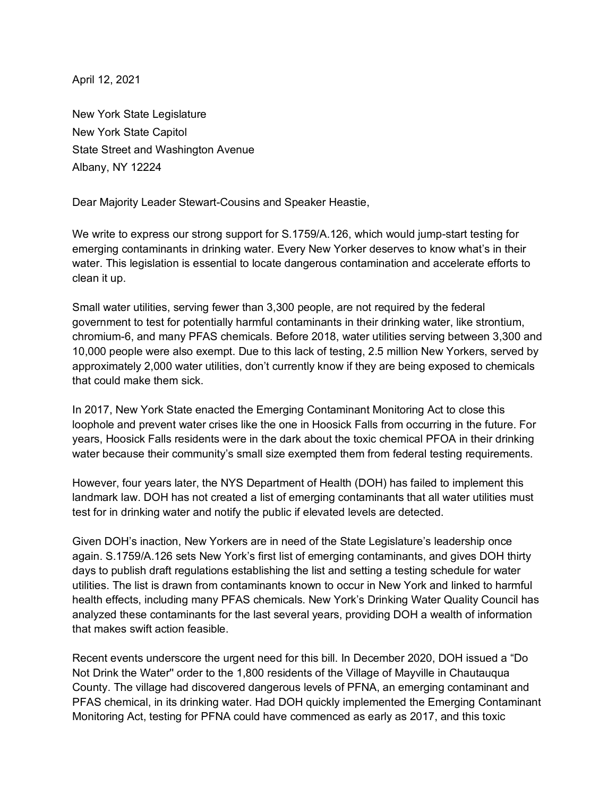April 12, 2021

New York State Legislature New York State Capitol State Street and Washington Avenue Albany, NY 12224

Dear Majority Leader Stewart-Cousins and Speaker Heastie,

We write to express our strong support for S.1759/A.126, which would jump-start testing for emerging contaminants in drinking water. Every New Yorker deserves to know what's in their water. This legislation is essential to locate dangerous contamination and accelerate efforts to clean it up.

Small water utilities, serving fewer than 3,300 people, are not required by the federal government to test for potentially harmful contaminants in their drinking water, like strontium, chromium-6, and many PFAS chemicals. Before 2018, water utilities serving between 3,300 and 10,000 people were also exempt. Due to this lack of testing, 2.5 million New Yorkers, served by approximately 2,000 water utilities, don't currently know if they are being exposed to chemicals that could make them sick.

In 2017, New York State enacted the Emerging Contaminant Monitoring Act to close this loophole and prevent water crises like the one in Hoosick Falls from occurring in the future. For years, Hoosick Falls residents were in the dark about the toxic chemical PFOA in their drinking water because their community's small size exempted them from federal testing requirements.

However, four years later, the NYS Department of Health (DOH) has failed to implement this landmark law. DOH has not created a list of emerging contaminants that all water utilities must test for in drinking water and notify the public if elevated levels are detected.

Given DOH's inaction, New Yorkers are in need of the State Legislature's leadership once again. S.1759/A.126 sets New York's first list of emerging contaminants, and gives DOH thirty days to publish draft regulations establishing the list and setting a testing schedule for water utilities. The list is drawn from contaminants known to occur in New York and linked to harmful health effects, including many PFAS chemicals. New York's Drinking Water Quality Council has analyzed these contaminants for the last several years, providing DOH a wealth of information that makes swift action feasible.

Recent events underscore the urgent need for this bill. In December 2020, DOH issued a "Do Not Drink the Water'' order to the 1,800 residents of the Village of Mayville in Chautauqua County. The village had discovered dangerous levels of PFNA, an emerging contaminant and PFAS chemical, in its drinking water. Had DOH quickly implemented the Emerging Contaminant Monitoring Act, testing for PFNA could have commenced as early as 2017, and this toxic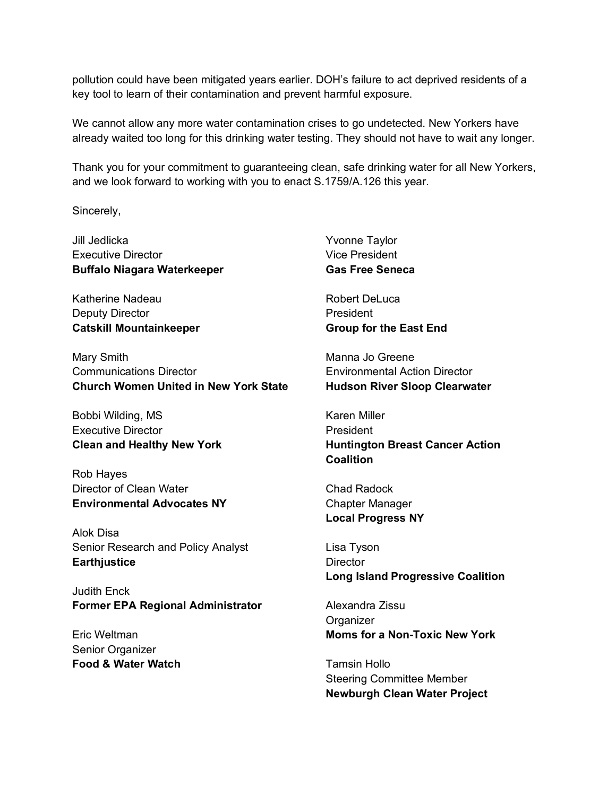pollution could have been mitigated years earlier. DOH's failure to act deprived residents of a key tool to learn of their contamination and prevent harmful exposure.

We cannot allow any more water contamination crises to go undetected. New Yorkers have already waited too long for this drinking water testing. They should not have to wait any longer.

Thank you for your commitment to guaranteeing clean, safe drinking water for all New Yorkers, and we look forward to working with you to enact S.1759/A.126 this year.

Sincerely,

Jill Jedlicka Executive Director **Buffalo Niagara Waterkeeper**

Katherine Nadeau Deputy Director **Catskill Mountainkeeper**

Mary Smith Communications Director **Church Women United in New York State**

Bobbi Wilding, MS Executive Director **Clean and Healthy New York**

Rob Hayes Director of Clean Water **Environmental Advocates NY**

Alok Disa Senior Research and Policy Analyst **Earthjustice**

Judith Enck **Former EPA Regional Administrator**

Eric Weltman Senior Organizer **Food & Water Watch**

Yvonne Taylor Vice President **Gas Free Seneca**

Robert DeLuca President **Group for the East End** 

Manna Jo Greene Environmental Action Director **Hudson River Sloop Clearwater**

Karen Miller President **Huntington Breast Cancer Action Coalition**

Chad Radock Chapter Manager **Local Progress NY**

Lisa Tyson **Director Long Island Progressive Coalition**

Alexandra Zissu **Organizer Moms for a Non-Toxic New York**

Tamsin Hollo Steering Committee Member **Newburgh Clean Water Project**